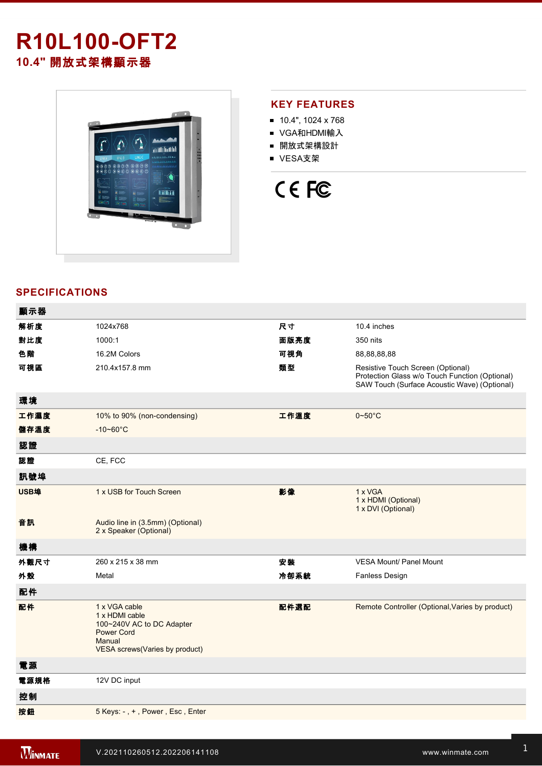# **R10L100-OFT2 10.4"** 開放式架構顯示器



## **KEY FEATURES**

- 10.4", 1024 x 768
- VGA和HDMI輸入
- 開放式架構設計
- VESA支架



# **SPECIFICATIONS**

| 顯示器  |                                                                                                                               |      |                                                                                                                                     |
|------|-------------------------------------------------------------------------------------------------------------------------------|------|-------------------------------------------------------------------------------------------------------------------------------------|
| 解析度  | 1024x768                                                                                                                      | 尺寸   | 10.4 inches                                                                                                                         |
| 對比度  | 1000:1                                                                                                                        | 面版亮度 | 350 nits                                                                                                                            |
| 色階   | 16.2M Colors                                                                                                                  | 可視角  | 88,88,88,88                                                                                                                         |
| 可視區  | 210.4x157.8 mm                                                                                                                | 類型   | Resistive Touch Screen (Optional)<br>Protection Glass w/o Touch Function (Optional)<br>SAW Touch (Surface Acoustic Wave) (Optional) |
| 環境   |                                                                                                                               |      |                                                                                                                                     |
| 工作濕度 | 10% to 90% (non-condensing)                                                                                                   | 工作溫度 | $0 - 50$ °C                                                                                                                         |
| 儲存溫度 | $-10 - 60^{\circ}C$                                                                                                           |      |                                                                                                                                     |
| 認證   |                                                                                                                               |      |                                                                                                                                     |
| 認證   | CE, FCC                                                                                                                       |      |                                                                                                                                     |
| 訊號埠  |                                                                                                                               |      |                                                                                                                                     |
| USB埠 | 1 x USB for Touch Screen                                                                                                      | 影像   | 1 x VGA<br>1 x HDMI (Optional)<br>1 x DVI (Optional)                                                                                |
| 音訊   | Audio line in (3.5mm) (Optional)<br>2 x Speaker (Optional)                                                                    |      |                                                                                                                                     |
| 機構   |                                                                                                                               |      |                                                                                                                                     |
| 外觀尺寸 | 260 x 215 x 38 mm                                                                                                             | 安装   | <b>VESA Mount/ Panel Mount</b>                                                                                                      |
| 外殼   | Metal                                                                                                                         | 冷卻系統 | Fanless Design                                                                                                                      |
| 配件   |                                                                                                                               |      |                                                                                                                                     |
| 配件   | 1 x VGA cable<br>1 x HDMI cable<br>100~240V AC to DC Adapter<br><b>Power Cord</b><br>Manual<br>VESA screws(Varies by product) | 配件選配 | Remote Controller (Optional, Varies by product)                                                                                     |
| 電源   |                                                                                                                               |      |                                                                                                                                     |
| 電源規格 | 12V DC input                                                                                                                  |      |                                                                                                                                     |
| 控制   |                                                                                                                               |      |                                                                                                                                     |
| 按鈕   | 5 Keys: -, +, Power, Esc, Enter                                                                                               |      |                                                                                                                                     |
|      |                                                                                                                               |      |                                                                                                                                     |